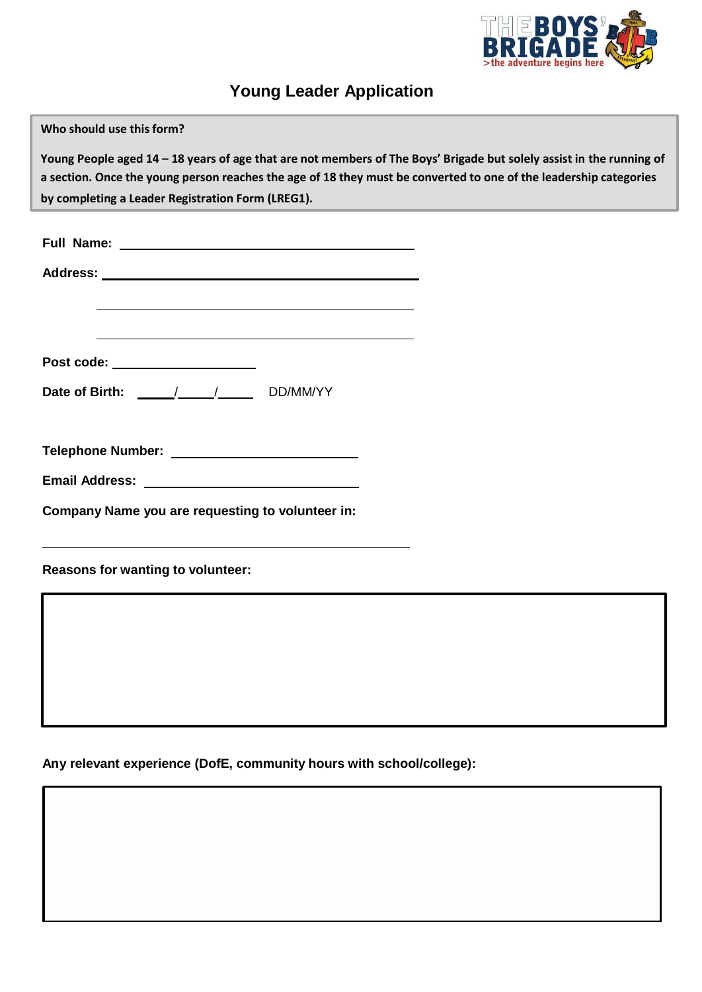

# **Young Leader Application**

| Who should use this form?                                                                                                                                                                                                                 |  |
|-------------------------------------------------------------------------------------------------------------------------------------------------------------------------------------------------------------------------------------------|--|
| Young People aged 14 – 18 years of age that are not members of The Boys' Brigade but solely assist in the running of<br>a section. Once the young person reaches the age of 18 they must be converted to one of the leadership categories |  |
| by completing a Leader Registration Form (LREG1).                                                                                                                                                                                         |  |
|                                                                                                                                                                                                                                           |  |
|                                                                                                                                                                                                                                           |  |
| the control of the control of the control of the control of the control of the control of the control of the control of the control of the control of the control of the control of the control of the control of the control             |  |
| and the control of the control of the control of the control of the control of the control of the control of the                                                                                                                          |  |
| Post code: _____________________                                                                                                                                                                                                          |  |
| Date of Birth: \[ _____/ ____/ ______ DD/MM/YY                                                                                                                                                                                            |  |
|                                                                                                                                                                                                                                           |  |
|                                                                                                                                                                                                                                           |  |
| Company Name you are requesting to volunteer in:                                                                                                                                                                                          |  |
| <u> 1980 - Johann Stein, marwolaethau a bhann an t-Amhair ann an t-Amhair an t-Amhair an t-Amhair an t-Amhair an</u><br>Reasons for wanting to volunteer:                                                                                 |  |
|                                                                                                                                                                                                                                           |  |
|                                                                                                                                                                                                                                           |  |
|                                                                                                                                                                                                                                           |  |
|                                                                                                                                                                                                                                           |  |
|                                                                                                                                                                                                                                           |  |

**Any relevant experience (DofE, community hours with school/college):**